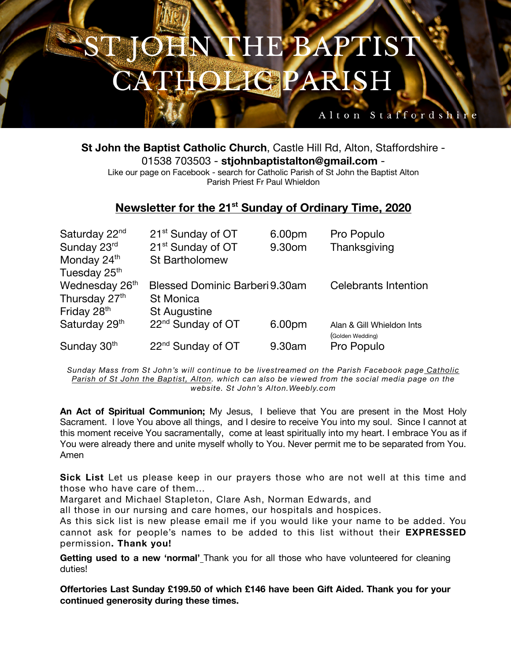## **IS** HE BAPT **IOLIG PARISH**

**St John the Baptist Catholic Church**, Castle Hill Rd, Alton, Staffordshire - 01538 703503 - **stjohnbaptistalton@gmail.com** - Like our page on Facebook - search for Catholic Parish of St John the Baptist Alton Parish Priest Fr Paul Whieldon

Alton Staffordshi

## **Newsletter for the 21st Sunday of Ordinary Time, 2020**

| Saturday 22 <sup>nd</sup> | 21 <sup>st</sup> Sunday of OT  | 6.00pm | Pro Populo                  |
|---------------------------|--------------------------------|--------|-----------------------------|
| Sunday 23rd               | 21 <sup>st</sup> Sunday of OT  | 9.30om | Thanksgiving                |
| Monday 24 <sup>th</sup>   | <b>St Bartholomew</b>          |        |                             |
| Tuesday 25th              |                                |        |                             |
| Wednesday 26th            | Blessed Dominic Barberi 9.30am |        | <b>Celebrants Intention</b> |
| Thursday 27 <sup>th</sup> | <b>St Monica</b>               |        |                             |
| Friday 28th               | <b>St Augustine</b>            |        |                             |
| Saturday 29th             | 22 <sup>nd</sup> Sunday of OT  | 6.00pm | Alan & Gill Whieldon Ints   |
|                           |                                |        | (Golden Wedding)            |
| Sunday 30th               | 22 <sup>nd</sup> Sunday of OT  | 9.30am | Pro Populo                  |

*Sunday Mass from St John's will continue to be livestreamed on the Parish Facebook page Catholic Parish of St John the Baptist, Alton. which can also be viewed from the social media page on the website. St John's Alton.Weebly.com*

**An Act of Spiritual Communion;** My Jesus, I believe that You are present in the Most Holy Sacrament. I love You above all things, and I desire to receive You into my soul. Since I cannot at this moment receive You sacramentally, come at least spiritually into my heart. I embrace You as if You were already there and unite myself wholly to You. Never permit me to be separated from You. Amen

**Sick List** Let us please keep in our prayers those who are not well at this time and those who have care of them…

Margaret and Michael Stapleton, Clare Ash, Norman Edwards, and

all those in our nursing and care homes, our hospitals and hospices.

As this sick list is new please email me if you would like your name to be added. You cannot ask for people's names to be added to this list without their **EXPRESSED** permission**. Thank you!**

**Getting used to a new 'normal'** Thank you for all those who have volunteered for cleaning duties!

**Offertories Last Sunday £199.50 of which £146 have been Gift Aided. Thank you for your continued generosity during these times.**